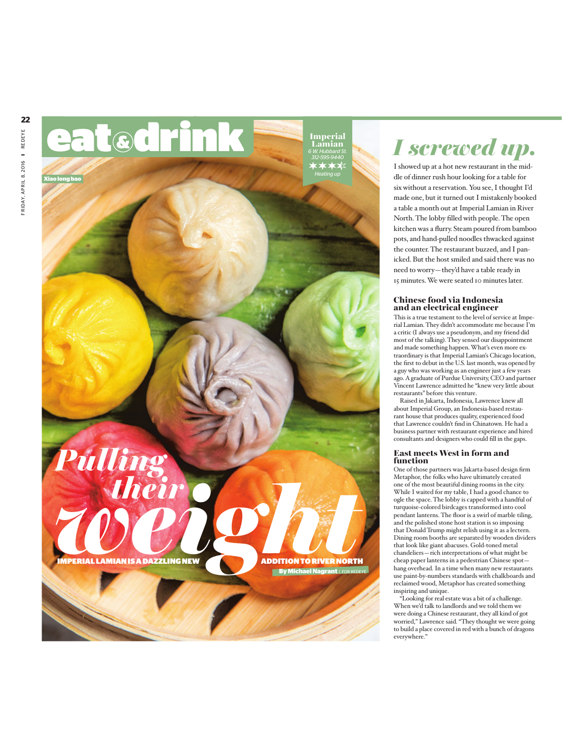

# *I screwed up.*

I showed up at a hot new restaurant in the middle of dinner rush hour looking for a table for six without a reservation. You see, I thought I'd made one, but it turned out I mistakenly booked a table a month out at Imperial Lamian in River North. The lobby filled with people. The open kitchen was a flurry. Steam poured from bamboo pots, and hand-pulled noodles thwacked against the counter. The restaurant buzzed, and I panicked. But the host smiled and said there was no need to worry—they'd have a table ready in 15 minutes.We were seated 10 minutes later.

# Chinese food via Indonesia and an electrical engineer

This is a true testament to the level of service at Imperial Lamian. They didn't accommodate me because I'm a critic (I always use a pseudonym, and my friend did most of the talking).They sensed our disappointment and made something happen.What's even more extraordinary is that Imperial Lamian's Chicago location, the first to debut in the U.S. last month, was opened by a guy who was working as an engineer just a few years ago.Agraduate of Purdue University, CEO and partner Vincent Lawrence admitted he "knew very little about restaurants" before this venture.

Raised in Jakarta, Indonesia, Lawrence knew all about Imperial Group, an Indonesia-based restaurant house that produces quality, experienced food that Lawrence couldn't find in Chinatown. He had a business partner with restaurant experience and hired consultants and designers who could fill in the gaps.

# East meets West in form and function

One of those partners was Jakarta-based design firm Metaphor, the folks who have ultimately created one of the most beautiful dining rooms in the city. While I waited for my table, I had a good chance to ogle the space. The lobby is capped with a handful of turquoise-colored birdcages transformed into cool pendant lanterns. The floor is a swirl of marble tiling, and the polished stone host station is so imposing that Donald Trump might relish using it as a lectern. Dining room booths are separated by wooden dividers that look like giant abacuses. Gold-toned metal chandeliers—rich interpretations of what might be cheap paper lanterns in a pedestrian Chinese spot hang overhead. In a time when many new restaurants use paint-by-numbers standards with chalkboards and reclaimed wood, Metaphor has created something inspiring and unique.

"Looking for real estate was a bit of a challenge. When we'd talk to landlords and we told them we were doing a Chinese restaurant, they all kind of got worried," Lawrence said."They thought we were going to build a place covered in red with a bunch of dragons everywhere."